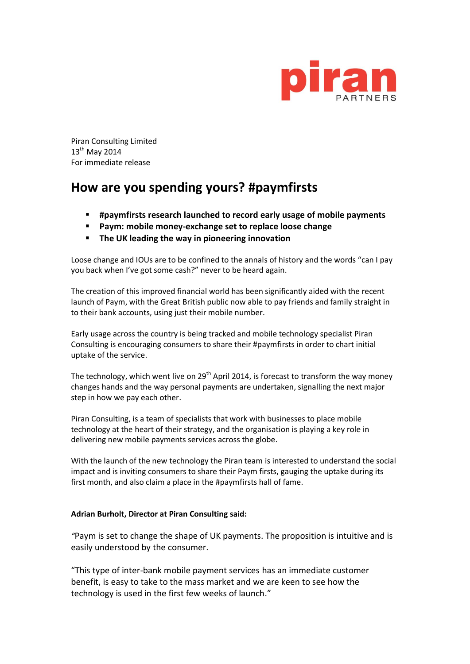

Piran Consulting Limited 13<sup>th</sup> May 2014 For immediate release

## **How are you spending yours? #paymfirsts**

- **#paymfirsts research launched to record early usage of mobile payments**
- **Paym: mobile money-exchange set to replace loose change**
- **The UK leading the way in pioneering innovation**

Loose change and IOUs are to be confined to the annals of history and the words "can I pay you back when I've got some cash?" never to be heard again.

The creation of this improved financial world has been significantly aided with the recent launch of Paym, with the Great British public now able to pay friends and family straight in to their bank accounts, using just their mobile number.

Early usage across the country is being tracked and mobile technology specialist Piran Consulting is encouraging consumers to share their #paymfirsts in order to chart initial uptake of the service.

The technology, which went live on  $29<sup>th</sup>$  April 2014, is forecast to transform the way money changes hands and the way personal payments are undertaken, signalling the next major step in how we pay each other.

Piran Consulting, is a team of specialists that work with businesses to place mobile technology at the heart of their strategy, and the organisation is playing a key role in delivering new mobile payments services across the globe.

With the launch of the new technology the Piran team is interested to understand the social impact and is inviting consumers to share their Paym firsts, gauging the uptake during its first month, and also claim a place in the #paymfirsts hall of fame.

## **Adrian Burholt, Director at Piran Consulting said:**

*"*Paym is set to change the shape of UK payments. The proposition is intuitive and is easily understood by the consumer.

"This type of inter-bank mobile payment services has an immediate customer benefit, is easy to take to the mass market and we are keen to see how the technology is used in the first few weeks of launch."